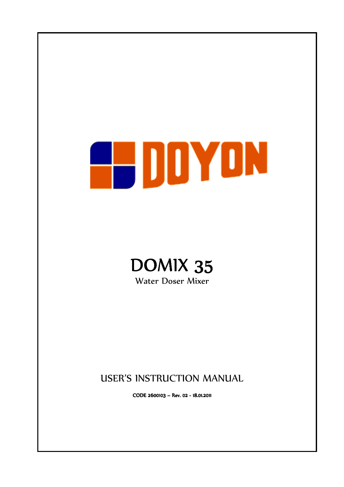# EDDYDN



Water Doser Mixer

# USER'S INSTRUCTION MANUAL

CODE 2600103 – Rev. 02 - 18.01.2011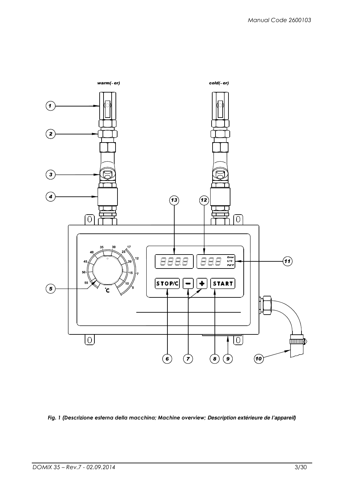

Fig. 1 (Descrizione esterna della macchina; Machine overview; **Description extérieure de l'appareil**)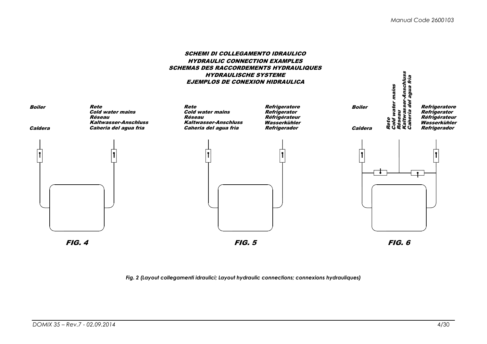#### SCHEMI DI COLLEGAMENTO IDRAULICO HYDRAULIC CONNECTION EXAMPLES SCHEMAS DES RACCORDEMENTS HYDRAULIQUESHYDRAULISCHE SYSTEMEEJEMPLOS DE CONEXION HIDRAULICA



Fig. 2 (Layout collegamenti idraulici; Layout hydraulic connections; connexions hydrauliques)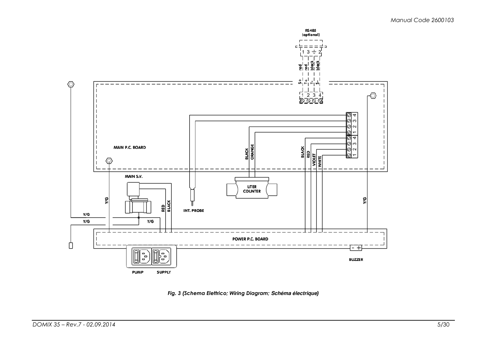

Fig. 3 (Schema Elettrico; Wiring Diagram; **Schéma électrique**)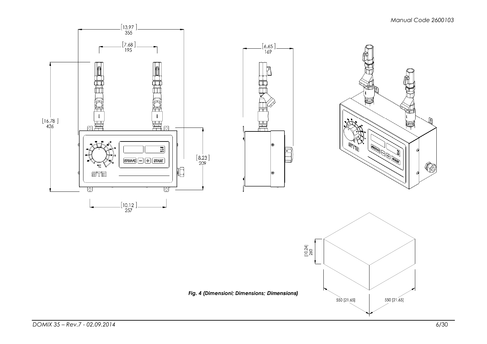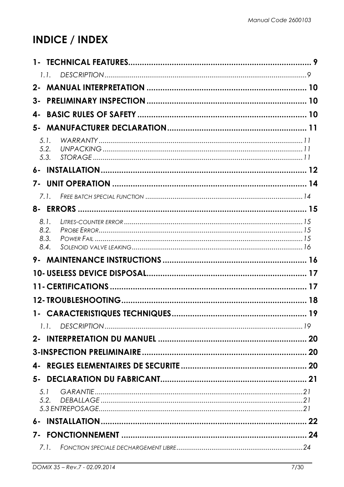# **INDICE / INDEX**

|              | 9  |
|--------------|----|
| 1.1.         |    |
| $2 -$        |    |
| 3-           |    |
| 4-           |    |
| 5-           |    |
| 5.1.         |    |
| 5.2.<br>5.3. |    |
| $6-$         |    |
| 7-           |    |
| 7.1.         |    |
|              |    |
| 8.1.         |    |
| 8.2.         |    |
| 8.3.<br>8.4. |    |
| 9-           |    |
|              |    |
|              |    |
|              |    |
| 1-           | 19 |
|              |    |
|              |    |
|              |    |
| 4-           |    |
|              |    |
| 5.1          |    |
| 5.2.         |    |
|              |    |
| $6 -$        |    |
|              |    |
| 7.1.         |    |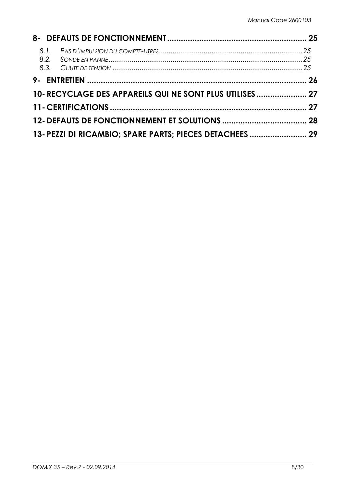| 10- RECYCLAGE DES APPAREILS QUI NE SONT PLUS UTILISES 27 |  |
|----------------------------------------------------------|--|
|                                                          |  |
|                                                          |  |
| 13- PEZZI DI RICAMBIO; SPARE PARTS; PIECES DETACHEES  29 |  |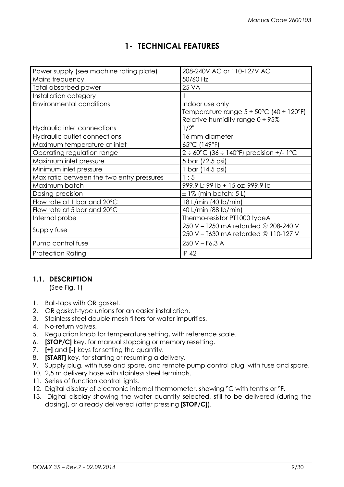## 1- TECHNICAL FEATURES

| Power supply (see machine rating plate)   | 208-240V AC or 110-127V AC                                |
|-------------------------------------------|-----------------------------------------------------------|
| Mains frequency                           | 50/60 Hz                                                  |
| Total absorbed power                      | <b>25 VA</b>                                              |
| Installation category                     |                                                           |
| <b>Environmental conditions</b>           | Indoor use only                                           |
|                                           | Temperature range $5 \div 50^{\circ}$ C (40 $\div$ 120°F) |
|                                           | Relative humidity range $0 \div 95\%$                     |
| Hydraulic inlet connections               | $1/2$ "                                                   |
| Hydraulic outlet connections              | 16 mm diameter                                            |
| Maximum temperature at inlet              | 65°C (149°F)                                              |
| Operating regulation range                | $2 \div 60^{\circ}$ C (36 $\div$ 140°F) precision +/- 1°C |
| Maximum inlet pressure                    | 5 bar (72,5 psi)                                          |
| Minimum inlet pressure                    | 1 bar (14,5 psi)                                          |
| Max ratio between the two entry pressures | 1:5                                                       |
| Maximum batch                             | 999,9 L; 99 lb + 15 oz; 999,9 lb                          |
| Dosing precision                          | $\pm$ 1% (min batch: 5 L)                                 |
| Flow rate at 1 bar and 20°C               | 18 L/min (40 lb/min)                                      |
| Flow rate at 5 bar and 20°C               | 40 L/min (88 lb/min)                                      |
| Internal probe                            | Thermo-resistor PT1000 typeA                              |
|                                           | 250 V - T250 mA retarded @ 208-240 V                      |
| Supply fuse                               | 250 V - T630 mA retarded @ 110-127 V                      |
| Pump control fuse                         | $250 V - F6, 3 A$                                         |
| <b>Protection Rating</b>                  | <b>IP 42</b>                                              |

## 1.1. DESCRIPTION

(See Fig. 1)

- 1. Ball-taps with OR gasket.
- 2. OR gasket-type unions for an easier installation.
- 3. Stainless steel double mesh filters for water impurities.
- 4. No-return valves.
- 5. Regulation knob for temperature setting, with reference scale.
- 6. [STOP/C] key, for manual stopping or memory resetting.
- 7. **[+]** and **[-]** keys for setting the quantity.
- 8. [START] key, for starting or resuming a delivery.
- 9. Supply plug, with fuse and spare, and remote pump control plug, with fuse and spare.
- 10. 2,5 m delivery hose with stainless steel terminals.
- 11. Series of function control lights.
- 12. Digital display of electronic internal thermometer, showing °C with tenths or °F.
- 13. Digital display showing the water quantity selected, still to be delivered (during the dosing), or already delivered (after pressing [STOP/C]).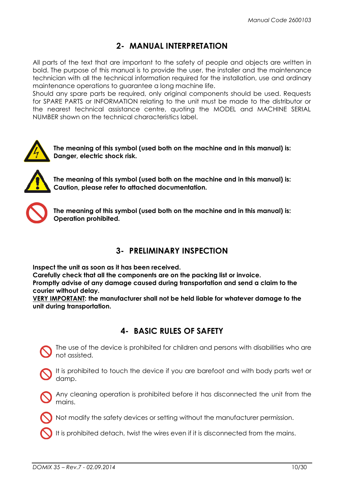## 2- MANUAL INTERPRETATION

All parts of the text that are important to the safety of people and objects are written in bold. The purpose of this manual is to provide the user, the installer and the maintenance technician with all the technical information required for the installation, use and ordinary maintenance operations to guarantee a long machine life.

Should any spare parts be required, only original components should be used. Requests for SPARE PARTS or INFORMATION relating to the unit must be made to the distributor or the nearest technical assistance centre, quoting the MODEL and MACHINE SERIAL NUMBER shown on the technical characteristics label.



The meaning of this symbol (used both on the machine and in this manual) is: Danger, electric shock risk.



The meaning of this symbol (used both on the machine and in this manual) is: Caution, please refer to attached documentation.



The meaning of this symbol (used both on the machine and in this manual) is: Operation prohibited.

## 3- PRELIMINARY INSPECTION

Inspect the unit as soon as it has been received.

Carefully check that all the components are on the packing list or invoice.

Promptly advise of any damage caused during transportation and send a claim to the courier without delay.

VERY IMPORTANT: the manufacturer shall not be held liable for whatever damage to the unit during transportation.

## 4- BASIC RULES OF SAFETY

The use of the device is prohibited for children and persons with disabilities who are not assisted.



Any cleaning operation is prohibited before it has disconnected the unit from the mains.



Not modify the safety devices or setting without the manufacturer permission.

It is prohibited detach, twist the wires even if it is disconnected from the mains.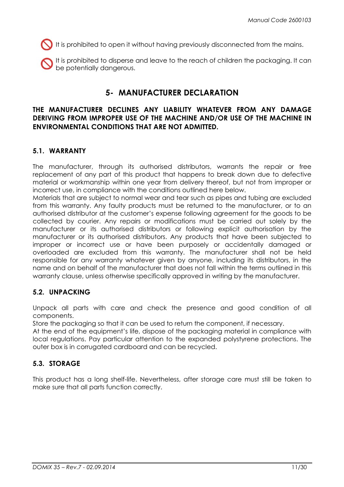$\bigcup$  It is prohibited to open it without having previously disconnected from the mains.

It is prohibited to disperse and leave to the reach of children the packaging. It can be potentially dangerous.

## 5- MANUFACTURER DECLARATION

#### THE MANUFACTURER DECLINES ANY LIABILITY WHATEVER FROM ANY DAMAGE DERIVING FROM IMPROPER USE OF THE MACHINE AND/OR USE OF THE MACHINE IN ENVIRONMENTAL CONDITIONS THAT ARE NOT ADMITTED.

#### 5.1. WARRANTY

The manufacturer, through its authorised distributors, warrants the repair or free replacement of any part of this product that happens to break down due to defective material or workmanship within one year from delivery thereof, but not from improper or incorrect use, in compliance with the conditions outlined here below.

Materials that are subject to normal wear and tear such as pipes and tubing are excluded from this warranty. Any faulty products must be returned to the manufacturer, or to an authorised distributor at the customer's expense following agreement for the goods to be collected by courier. Any repairs or modifications must be carried out solely by the manufacturer or its authorised distributors or following explicit authorisation by the manufacturer or its authorised distributors. Any products that have been subjected to improper or incorrect use or have been purposely or accidentally damaged or overloaded are excluded from this warranty. The manufacturer shall not be held responsible for any warranty whatever given by anyone, including its distributors, in the name and on behalf of the manufacturer that does not fall within the terms outlined in this warranty clause, unless otherwise specifically approved in writing by the manufacturer.

#### 5.2. UNPACKING

Unpack all parts with care and check the presence and good condition of all components.

Store the packaging so that it can be used to return the component, if necessary.

At the end of the equipment's life, dispose of the packaging material in compliance with local regulations. Pay particular attention to the expanded polystyrene protections. The outer box is in corrugated cardboard and can be recycled.

## 5.3. STORAGE

This product has a long shelf-life. Nevertheless, after storage care must still be taken to make sure that all parts function correctly.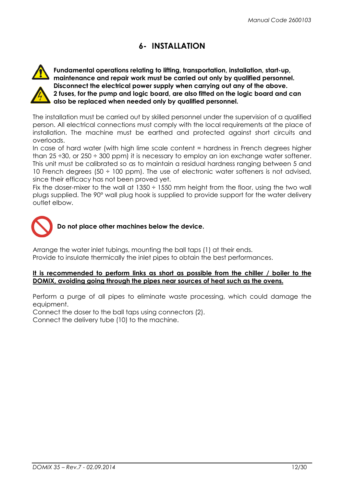## 6- INSTALLATION



Fundamental operations relating to lifting, transportation, installation, start-up, maintenance and repair work must be carried out only by qualified personnel. Disconnect the electrical power supply when carrying out any of the above. 2 fuses, for the pump and logic board, are also fitted on the logic board and can also be replaced when needed only by qualified personnel.

The installation must be carried out by skilled personnel under the supervision of a qualified person. All electrical connections must comply with the local requirements at the place of installation. The machine must be earthed and protected against short circuits and overloads.

In case of hard water (with high lime scale content = hardness in French degrees higher than 25  $\div$ 30, or 250  $\div$  300 ppm) it is necessary to employ an ion exchange water softener. This unit must be calibrated so as to maintain a residual hardness ranging between 5 and 10 French degrees (50  $\div$  100 ppm). The use of electronic water softeners is not advised, since their efficacy has not been proved yet.

Fix the doser-mixer to the wall at  $1350 \div 1550$  mm height from the floor, using the two wall plugs supplied. The 90° wall plug hook is supplied to provide support for the water delivery outlet elbow.



Do not place other machines below the device.

Arrange the water inlet tubings, mounting the ball taps (1) at their ends. Provide to insulate thermically the inlet pipes to obtain the best performances.

#### It is recommended to perform links as short as possible from the chiller / boiler to the DOMIX, avoiding going through the pipes near sources of heat such as the ovens.

Perform a purge of all pipes to eliminate waste processing, which could damage the equipment.

Connect the doser to the ball taps using connectors (2).

Connect the delivery tube (10) to the machine.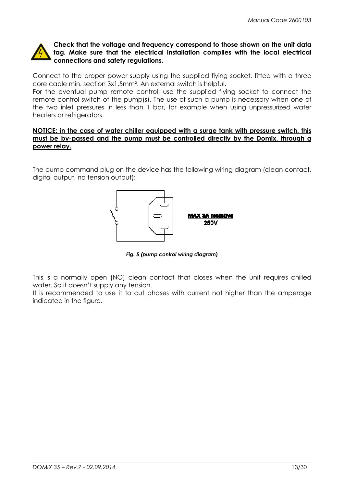

#### Check that the voltage and frequency correspond to those shown on the unit data tag. Make sure that the electrical installation complies with the local electrical connections and safety regulations.

Connect to the proper power supply using the supplied flying socket, fitted with a three core cable min. section 3x1,5mm². An external switch is helpful.

For the eventual pump remote control, use the supplied flying socket to connect the remote control switch of the pump(s). The use of such a pump is necessary when one of the two inlet pressures in less than 1 bar, for example when using unpressurized water heaters or refrigerators.

#### NOTICE: in the case of water chiller equipped with a surge tank with pressure switch, this must be by-passed and the pump must be controlled directly by the Domix, through a power relay.

The pump command plug on the device has the following wiring diagram (clean contact, digital output, no tension output):



Fig. 5 (pump control wiring diagram)

This is a normally open (NO) clean contact that closes when the unit requires chilled water. So it doesn't supply any tension.

It is recommended to use it to cut phases with current not higher than the amperage indicated in the figure.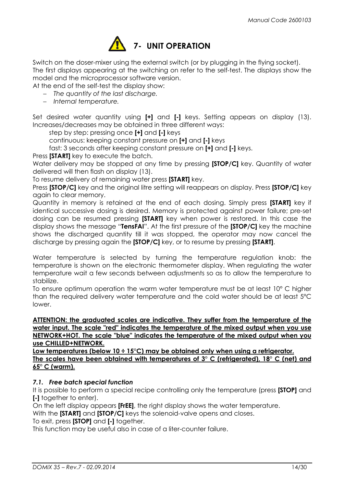

Switch on the doser-mixer using the external switch (or by plugging in the flying socket). The first displays appearing at the switching on refer to the self-test. The displays show the model and the microprocessor software version.

At the end of the self-test the display show:

− The quantity of the last discharge.

− Internal temperature.

Set desired water quantity using [+] and [-] keys. Setting appears on display (13). Increases/decreases may be obtained in three different ways:

step by step: pressing once [+] and [-] keys

continuous: keeping constant pressure on [+] and [-] keys

fast: 3 seconds after keeping constant pressure on [+] and [-] keys.

Press **[START]** key to execute the batch.

Water delivery may be stopped at any time by pressing [STOP/C] key. Quantity of water delivered will then flash on display (13).

To resume delivery of remaining water press [START] key.

Press **[STOP/C]** key and the original litre setting will reappears on display. Press **[STOP/C]** key again to clear memory.

Quantity in memory is retained at the end of each dosing. Simply press [START] key if identical successive dosing is desired. Memory is protected against power failure; pre-set dosing can be resumed pressing [START] key when power is restored. In this case the display shows the message "**TensFAI**". At the first pressure of the **[STOP/C]** key the machine shows the discharged quantity till it was stopped, the operator may now cancel the discharge by pressing again the **[STOP/C]** key, or to resume by pressing **[START]**.

Water temperature is selected by turning the temperature regulation knob: the temperature is shown on the electronic thermometer display. When regulating the water temperature wait a few seconds between adjustments so as to allow the temperature to stabilize.

To ensure optimum operation the warm water temperature must be at least 10° C higher than the required delivery water temperature and the cold water should be at least 5°C lower.

ATTENTION: the graduated scales are indicative. They suffer from the temperature of the water input. The scale "red" indicates the temperature of the mixed output when you use NETWORK+HOT. The scale "blue" indicates the temperature of the mixed output when you use CHILLED+NETWORK.

Low temperatures (below 10 ÷ 15°C) may be obtained only when using a refrigerator. The scales have been obtained with temperatures of  $3^\circ$  C (refrigerated),  $18^\circ$  C (net) and 65° C (warm).

#### 7.1. Free batch special function

It is possible to perform a special recipe controlling only the temperature (press **[STOP]** and [-] together to enter).

On the left display appears [FrEE], the right display shows the water temperature.

With the **[START]** and **[STOP/C]** keys the solenoid-valve opens and closes.

To exit, press **[STOP]** and **[-]** together.

This function may be useful also in case of a liter-counter failure.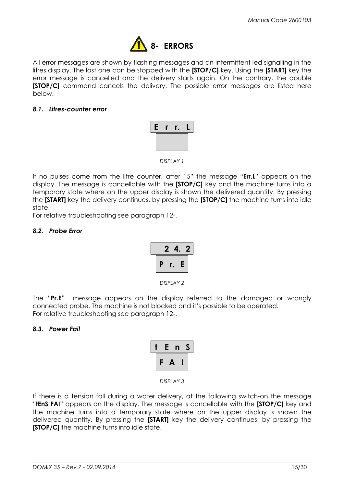

All error messages are shown by flashing messages and an intermittent led signalling in the litres display. The last one can be stopped with the **[STOP/C]** key. Using the **[START]** key the error message is cancelled and the delivery starts again. On the contrary, the double **[STOP/C]** command cancels the delivery. The possible error messages are listed here below.

#### 8.1. Litres-counter error



DISPLAY 1

If no pulses come from the litre counter, after 15" the message "**Err.L**" appears on the display. The message is cancellable with the [STOP/C] key and the machine turns into a temporary state where on the upper display is shown the delivered quantity. By pressing the **[START]** key the delivery continues, by pressing the **[STOP/C]** the machine turns into idle state.

For relative troubleshooting see paragraph 12-.

#### 8.2. Probe Error

|   | $\mathbf{z}$ | 4. | -2 |
|---|--------------|----|----|
| р | r.           | E  |    |

DISPLAY 2

The "Pr.E" message appears on the display referred to the damaged or wrongly connected probe. The machine is not blocked and it's possible to be operated. For relative troubleshooting see paragraph 12-.

#### 8.3. Power Fail

|   | E | n | $\overline{\phantom{0}}$ |
|---|---|---|--------------------------|
| c | А |   |                          |

DISPLAY 3

If there is a tension fall during a water delivery, at the following switch-on the message "**tEnS FAI**" appears on the display. The message is cancellable with the **[STOP/C]** key and the machine turns into a temporary state where on the upper display is shown the delivered quantity. By pressing the [START] key the delivery continues, by pressing the **[STOP/C]** the machine turns into idle state.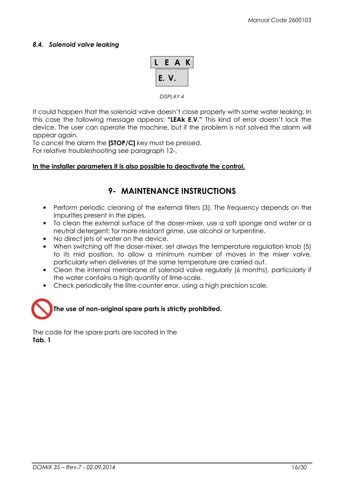#### 8.4. Solenoid valve leaking



DISPLAY 4

It could happen that the solenoid valve doesn't close properly with some water leaking. In this case the following message appears: "LEAK E.V." This kind of error doesn't lock the device. The user can operate the machine, but if the problem is not solved the alarm will appear again.

To cancel the alarm the [STOP/C] key must be pressed.

For relative troubleshooting see paragraph 12-.

#### In the installer parameters it is also possible to deactivate the control.

## 9- MAINTENANCE INSTRUCTIONS

- Perform periodic cleaning of the external filters (3). The frequency depends on the impurities present in the pipes.
- To clean the external surface of the doser-mixer, use a soft sponge and water or a neutral detergent; for more resistant grime, use alcohol or turpentine.
- No direct jets of water on the device.
- When switching off the doser-mixer, set always the temperature regulation knob (5) to its mid position, to allow a minimum number of moves in the mixer valve, particularly when deliveries at the same temperature are carried out.
- Clean the internal membrane of solenoid valve regularly (6 months), particularly if the water contains a high quantity of lime-scale.
- Check periodically the litre-counter error, using a high precision scale.



The code for the spare parts are located in the Tab. 1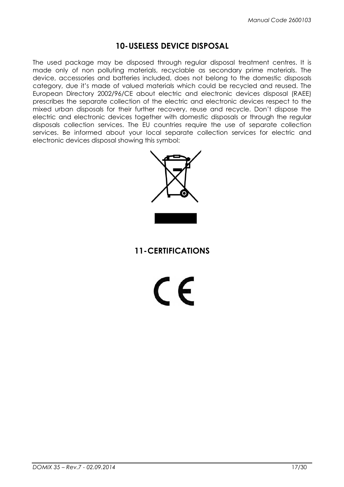## 10-USELESS DEVICE DISPOSAL

The used package may be disposed through regular disposal treatment centres. It is made only of non polluting materials, recyclable as secondary prime materials. The device, accessories and batteries included, does not belong to the domestic disposals category, due it's made of valued materials which could be recycled and reused. The European Directory 2002/96/CE about electric and electronic devices disposal (RAEE) prescribes the separate collection of the electric and electronic devices respect to the mixed urban disposals for their further recovery, reuse and recycle. Don't dispose the electric and electronic devices together with domestic disposals or through the regular disposals collection services. The EU countries require the use of separate collection services. Be informed about your local separate collection services for electric and electronic devices disposal showing this symbol:



11-CERTIFICATIONS

 $\epsilon$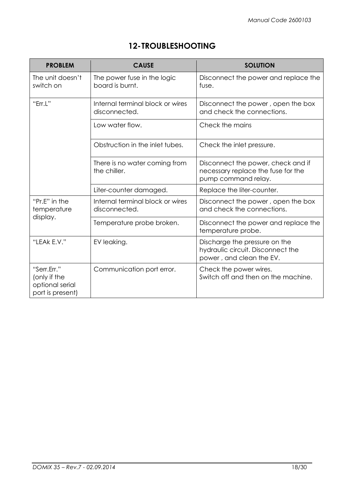# 12-TROUBLESHOOTING

| <b>PROBLEM</b>                                                     | <b>CAUSE</b>                                      | <b>SOLUTION</b>                                                                                 |  |
|--------------------------------------------------------------------|---------------------------------------------------|-------------------------------------------------------------------------------------------------|--|
| The unit doesn't<br>switch on                                      | The power fuse in the logic<br>board is burnt.    | Disconnect the power and replace the<br>fuse.                                                   |  |
| "Err.L"                                                            | Internal terminal block or wires<br>disconnected. | Disconnect the power, open the box<br>and check the connections.                                |  |
|                                                                    | Low water flow.                                   | Check the mains                                                                                 |  |
|                                                                    | Obstruction in the inlet tubes.                   | Check the inlet pressure.                                                                       |  |
|                                                                    | There is no water coming from<br>the chiller.     | Disconnect the power, check and if<br>necessary replace the fuse for the<br>pump command relay. |  |
|                                                                    | Liter-counter damaged.                            | Replace the liter-counter.                                                                      |  |
| "Pr.E" in the<br>temperature                                       | Internal terminal block or wires<br>disconnected. | Disconnect the power, open the box<br>and check the connections.                                |  |
| display.                                                           | Temperature probe broken.                         | Disconnect the power and replace the<br>temperature probe.                                      |  |
| "LEAK E.V."                                                        | EV leaking.                                       | Discharge the pressure on the<br>hydraulic circuit. Disconnect the<br>power, and clean the EV.  |  |
| "Serr.Err."<br>(only if the<br>optional serial<br>port is present) | Communication port error.                         | Check the power wires.<br>Switch off and then on the machine.                                   |  |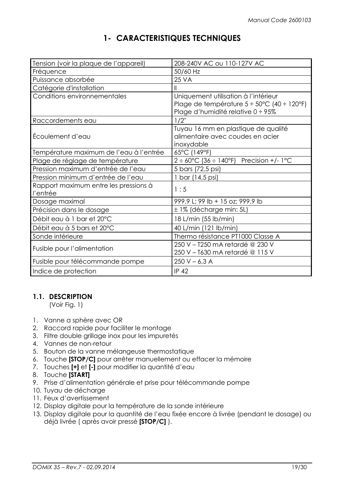## 1- CARACTERISTIQUES TECHNIQUES

| Tension (voir la plaque de l'appareil)            | 208-240V AC ou 110-127V AC                                                                                                                |
|---------------------------------------------------|-------------------------------------------------------------------------------------------------------------------------------------------|
| Fréquence                                         | 50/60 Hz                                                                                                                                  |
| Puissance absorbée                                | <b>25 VA</b>                                                                                                                              |
| Catégorie d'installation                          | Ш                                                                                                                                         |
| Conditions environnementales                      | Uniquement utilisation à l'intérieur<br>Plage de température $5 \div 50^{\circ}$ C (40 $\div$ 120°F)<br>Plage d'humidité relative 0 ÷ 95% |
| Raccordements eau                                 | $1/2$ "                                                                                                                                   |
| Écoulement d'eau                                  | Tuyau 16 mm en plastique de qualité<br>alimentaire avec coudes en acier<br>inoxydable                                                     |
| Température maximum de l'eau à l'entrée           | 65°C (149°F)                                                                                                                              |
| Plage de réglage de température                   | $2 \div 60^{\circ}$ C (36 $\div$ 140°F) Precision +/- 1°C                                                                                 |
| Pression maximum d'entrée de l'eau                | 5 bars (72,5 psi)                                                                                                                         |
| Pression minimum d'entrée de l'eau                | 1 bar (14,5 psi)                                                                                                                          |
| Rapport maximum entre les pressions à<br>l'entrée | 1:5                                                                                                                                       |
| Dosage maximal                                    | 999,9 L; 99 lb + 15 oz; 999,9 lb                                                                                                          |
| Précision dans le dosage                          | ± 1% (décharge min: 5L)                                                                                                                   |
| Débit eau à 1 bar et 20°C                         | 18 L/min (55 lb/min)                                                                                                                      |
| Débit eau à 5 bars et 20°C                        | 40 L/min (121 lb/min)                                                                                                                     |
| Sonde intérieure                                  | Thermo résistance PT1000 Classe A                                                                                                         |
| Fusible pour l'alimentation                       | 250 V - T250 mA retardé @ 230 V<br>250 V - T630 mA retardé @ 115 V                                                                        |
| Fusible pour télécommande pompe                   | $250 V - 6,3 A$                                                                                                                           |
| Indice de protection                              | <b>IP 42</b>                                                                                                                              |

## 1.1. DESCRIPTION

(Voir Fig. 1)

- 1. Vanne a sphère avec OR
- 2. Raccord rapide pour faciliter le montage
- 3. Filtre double grillage inox pour les impuretés
- 4. Vannes de non-retour
- 5. Bouton de la vanne mélangeuse thermostatique
- 6. Touche [STOP/C] pour arrêter manuellement ou effacer la mémoire
- 7. Touches [+] et [-] pour modifier la quantité d'eau
- 8. Touche [START]
- 9. Prise d'alimentation générale et prise pour télécommande pompe
- 10. Tuyau de décharge
- 11. Feux d'avertissement
- 12. Display digitale pour la température de la sonde intérieure
- 13. Display digitale pour la quantité de l'eau fixée encore à livrée (pendant le dosage) ou déjà livrée ( après avoir pressé [STOP/C] ).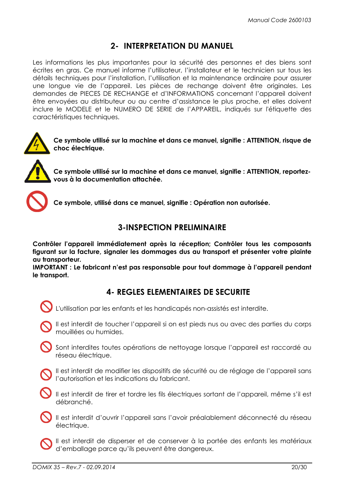## 2- INTERPRETATION DU MANUEL

Les informations les plus importantes pour la sécurité des personnes et des biens sont écrites en gras. Ce manuel informe l'utilisateur, l'installateur et le technicien sur tous les détails techniques pour l'installation, l'utilisation et la maintenance ordinaire pour assurer une longue vie de l'appareil. Les pièces de rechange doivent être originales. Les demandes de PIECES DE RECHANGE et d'INFORMATIONS concernant l'appareil doivent être envoyées au distributeur ou au centre d'assistance le plus proche, et elles doivent inclure le MODELE et le NUMERO DE SERIE de l'APPAREIL, indiqués sur l'étiquette des caractéristiques techniques.



Ce symbole utilisé sur la machine et dans ce manuel, signifie : ATTENTION, risque de choc électrique.



Ce symbole utilisé sur la machine et dans ce manuel, signifie : ATTENTION, reportezvous à la documentation attachée.



Ce symbole, utilisé dans ce manuel, signifie : Opération non autorisée.

## 3-INSPECTION PRELIMINAIRE

Contrôler l'appareil immédiatement après la réception; Contrôler tous les composants figurant sur la facture, signaler les dommages dus au transport et présenter votre plainte au transporteur.

IMPORTANT : Le fabricant n'est pas responsable pour tout dommage à l'appareil pendant le transport.

## 4- REGLES ELEMENTAIRES DE SECURITE

- L'utilisation par les enfants et les handicapés non-assistés est interdite.
- 

Il est interdit de toucher l'appareil si on est pieds nus ou avec des parties du corps mouillées ou humides.

Sont interdites toutes opérations de nettoyage lorsque l'appareil est raccordé au réseau électrique.

- Il est interdit de modifier les dispositifs de sécurité ou de réglage de l'appareil sans **S** l'autorisation et les indications du fabricant.
- 

Il est interdit de tirer et tordre les fils électriques sortant de l'appareil, même s'il est débranché.

Il est interdit d'ouvrir l'appareil sans l'avoir préalablement déconnecté du réseau électrique.

Il est interdit de disperser et de conserver à la portée des enfants les matériaux d'emballage parce qu'ils peuvent être dangereux.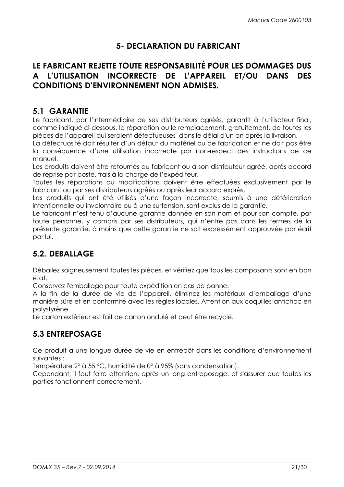## 5- DECLARATION DU FABRICANT

## LE FABRICANT REJETTE TOUTE RESPONSABILITÉ POUR LES DOMMAGES DUS A L'UTILISATION INCORRECTE DE L'APPAREIL ET/OU DANS DES CONDITIONS D'ENVIRONNEMENT NON ADMISES.

## 5.1 GARANTIE

Le fabricant, par l'intermédiaire de ses distributeurs agréés, garantit à l'utilisateur final, comme indiqué ci-dessous, la réparation ou le remplacement, gratuitement, de toutes les pièces de l'appareil qui seraient défectueuses dans le délai d'un an après la livraison.

La défectuosité doit résulter d'un défaut du matériel ou de fabrication et ne doit pas être la conséquence d'une utilisation incorrecte par non-respect des instructions de ce manuel.

Les produits doivent être retournés au fabricant ou à son distributeur agréé, après accord de reprise par poste, frais à la charge de l'expéditeur.

Toutes les réparations ou modifications doivent être effectuées exclusivement par le fabricant ou par ses distributeurs agréés ou après leur accord exprès.

Les produits qui ont été utilisés d'une façon incorrecte, soumis à une détérioration intentionnelle ou involontaire ou à une surtension, sont exclus de la garantie.

Le fabricant n'est tenu d'aucune garantie donnée en son nom et pour son compte, par toute personne, y compris par ses distributeurs, qui n'entre pas dans les termes de la présente garantie, à moins que cette garantie ne soit expressément approuvée par écrit par lui.

## 5.2. DEBALLAGE

Déballez soigneusement toutes les pièces, et vérifiez que tous les composants sont en bon état.

Conservez l'emballage pour toute expédition en cas de panne.

A la fin de la durée de vie de l'appareil, éliminez les matériaux d'emballage d'une manière sûre et en conformité avec les règles locales. Attention aux coquilles-antichoc en polystyrène.

Le carton extérieur est fait de carton ondulé et peut être recyclé.

## 5.3 ENTREPOSAGE

Ce produit a une longue durée de vie en entrepôt dans les conditions d'environnement suivantes :

Température 2° à 55 °C, humidité de 0° à 95% (sans condensation).

Cependant, il faut faire attention, après un long entreposage, et s'assurer que toutes les parties fonctionnent correctement.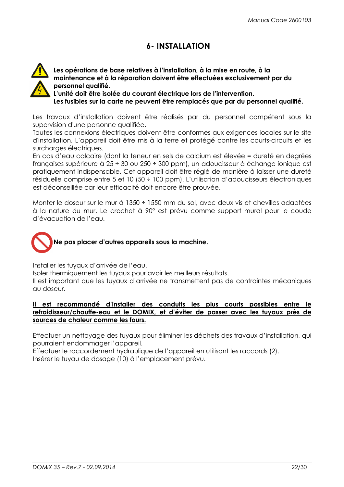## 6- INSTALLATION



Les opérations de base relatives à l'installation, à la mise en route, à la maintenance et à la réparation doivent être effectuées exclusivement par du personnel qualifié.

L'unité doit être isolée du courant électrique lors de l'intervention. Les fusibles sur la carte ne peuvent être remplacés que par du personnel qualifié.

Les travaux d'installation doivent être réalisés par du personnel compétent sous la supervision d'une personne qualifiée.

Toutes les connexions électriques doivent être conformes aux exigences locales sur le site d'installation. L'appareil doit être mis à la terre et protégé contre les courts-circuits et les surcharges électriques.

En cas d'eau calcaire (dont la teneur en sels de calcium est élevée = dureté en degrées françaises supérieure à 25 ÷ 30 ou 250 ÷ 300 ppm), un adoucisseur à échange ionique est pratiquement indispensable. Cet appareil doit être réglé de manière à laisser une dureté résiduelle comprise entre 5 et 10 (50 ÷ 100 ppm). L'utilisation d'adoucisseurs électroniques est déconseillée car leur efficacité doit encore être prouvée.

Monter le doseur sur le mur à 1350 ÷ 1550 mm du sol, avec deux vis et chevilles adaptées à la nature du mur. Le crochet à 90° est prévu comme support mural pour le coude d'évacuation de l'eau.



Installer les tuyaux d'arrivée de l'eau.

Isoler thermiquement les tuyaux pour avoir les meilleurs résultats.

Il est important que les tuyaux d'arrivée ne transmettent pas de contraintes mécaniques au doseur.

#### Il est recommandé d'installer des conduits les plus courts possibles entre le refroidisseur/chauffe-eau et le DOMIX, et d'éviter de passer avec les tuyaux près de sources de chaleur comme les fours.

Effectuer un nettoyage des tuyaux pour éliminer les déchets des travaux d'installation, qui pourraient endommager l'appareil.

Effectuer le raccordement hydraulique de l'appareil en utilisant les raccords (2). Insérer le tuyau de dosage (10) à l'emplacement prévu.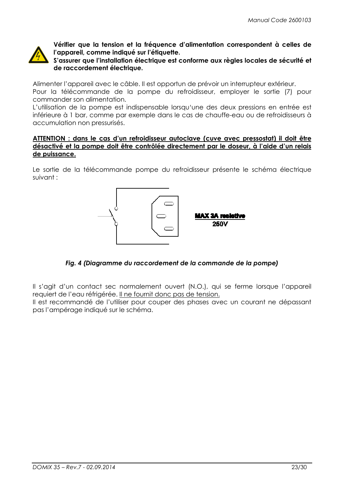

Vérifier que la tension et la fréquence d'alimentation correspondent à celles de l'appareil, comme indiqué sur l'étiquette.

S'assurer que l'installation électrique est conforme aux règles locales de sécurité et de raccordement électrique.

Alimenter l'appareil avec le câble. Il est opportun de prévoir un interrupteur extérieur. Pour la télécommande de la pompe du refroidisseur, employer le sortie (7) pour commander son alimentation.

L'utilisation de la pompe est indispensable lorsqu'une des deux pressions en entrée est inférieure à 1 bar, comme par exemple dans le cas de chauffe-eau ou de refroidisseurs à accumulation non pressurisés.

#### ATTENTION : dans le cas d'un refroidisseur autoclave (cuve avec pressostat) il doit être désactivé et la pompe doit être contrôlée directement par le doseur, à l'aide d'un relais de puissance.

Le sortie de la télécommande pompe du refroidisseur présente le schéma électrique suivant :



## Fig. 4 (Diagramme du raccordement de la commande de la pompe)

Il s'agit d'un contact sec normalement ouvert (N.O.), qui se ferme lorsque l'appareil requiert de l'eau réfrigérée. Il ne fournit donc pas de tension.

Il est recommandé de l'utiliser pour couper des phases avec un courant ne dépassant pas l'ampérage indiqué sur le schéma.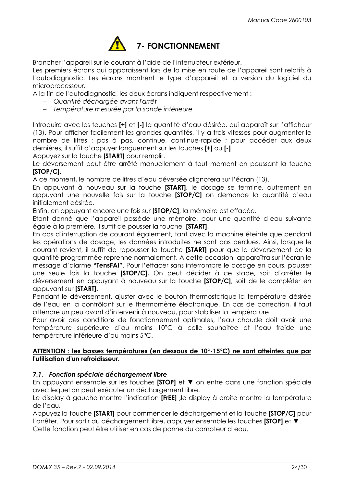

## 7- FONCTIONNEMENT

Brancher l'appareil sur le courant à l'aide de l'interrupteur extérieur.

Les premiers écrans qui apparaissent lors de la mise en route de l'appareil sont relatifs à l'autodiagnostic. Les écrans montrent le type d'appareil et la version du logiciel du microprocesseur.

A la fin de l'autodiagnostic, les deux écrans indiquent respectivement :

- − Quantité déchargée avant l'arrêt
- − Température mesurée par la sonde intérieure

Introduire avec les touches [+] et [-] la quantité d'eau désirée, qui apparaît sur l'afficheur (13). Pour afficher facilement les grandes quantités, il y a trois vitesses pour augmenter le nombre de litres : pas à pas, continue, continue-rapide ; pour accéder aux deux dernières, il suffit d'appuyer longuement sur les touches [+] ou [-]

Appuyez sur la touche [START] pour remplir.

Le déversement peut être arrêté manuellement à tout moment en poussant la touche [STOP/C].

A ce moment, le nombre de litres d'eau déversée clignotera sur l'écran (13).

En appuyant à nouveau sur la touche [START], le dosage se termine, autrement en appuyant une nouvelle fois sur la touche [STOP/C] on demande la quantité d'eau initialement désirée.

Enfin, en appuyant encore une fois sur [STOP/C], la mémoire est effacée.

Etant donné que l'appareil possède une mémoire, pour une quantité d'eau suivante égale à la première, il suffit de pousser la touche [START].

En cas d'interruption de courant également, tant avec la machine éteinte que pendant les opérations de dosage, les données introduites ne sont pas perdues. Ainsi, lorsque le courant revient, il suffit de repousser la touche [START] pour que le déversement de la quantité programmée reprenne normalement. A cette occasion, apparaîtra sur l'écran le message d'alarme "TensFAI". Pour l'effacer sans interrompre le dosage en cours, pousser une seule fois la touche [STOP/C]. On peut décider à ce stade, soit d'arrêter le déversement en appuyant à nouveau sur la touche [STOP/C], soit de le compléter en appuyant sur [START].

Pendant le déversement, ajuster avec le bouton thermostatique la température désirée de l'eau en la contrôlant sur le thermomètre électronique. En cas de correction, il faut attendre un peu avant d'intervenir à nouveau, pour stabiliser la température.

Pour avoir des conditions de fonctionnement optimales, l'eau chaude doit avoir une température supérieure d'au moins 10°C à celle souhaitée et l'eau froide une température inférieure d'au moins 5°C.

#### ATTENTION : les basses températures (en dessous de 10°-15°C) ne sont atteintes que par l'utilisation d'un refroidisseur.

#### 7.1. Fonction spéciale déchargement libre

En appuyant ensemble sur les touches [STOP] et ▼ on entre dans une fonction spéciale avec lequel on peut exécuter un déchargement libre.

Le display à gauche montre l'indication [FrEE] , le display à droite montre la température de l'eau.

Appuyez la touche [START] pour commencer le déchargement et la touche [STOP/C] pour l'arrêter. Pour sortir du déchargement libre, appuyez ensemble les touches [STOP] et ▼.

Cette fonction peut être utiliser en cas de panne du compteur d'eau.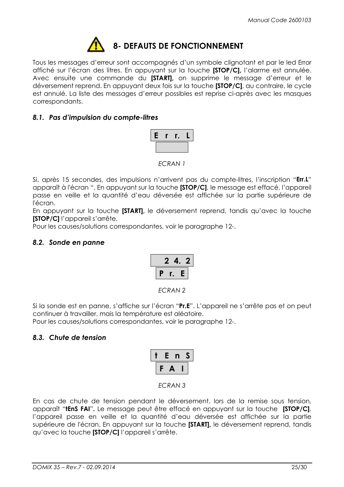

Tous les messages d'erreur sont accompagnés d'un symbole clignotant et par le led Error affiché sur l'écran des litres. En appuyant sur la touche [STOP/C], l'alarme est annulée. Avec ensuite une commande du [START], on supprime le message d'erreur et le déversement reprend. En appuyant deux fois sur la touche [STOP/C], au contraire, le cycle est annulé. La liste des messages d'erreur possibles est reprise ci-après avec les masques correspondants.

#### 8.1. Pas d'impulsion du compte-litres



ECRAN 1

Si, après 15 secondes, des impulsions n'arrivent pas du compte-litres, l'inscription "Err.L" apparaît à l'écran ". En appuyant sur la touche [STOP/C], le message est effacé, l'appareil passe en veille et la quantité d'eau déversée est affichée sur la partie supérieure de l'écran.

En appuyant sur la touche [START], le déversement reprend, tandis qu'avec la touche [STOP/C] l'appareil s'arrête.

Pour les causes/solutions correspondantes, voir le paragraphe 12-.

#### 8.2. Sonde en panne



ECRAN 2

Si la sonde est en panne, s'affiche sur l'écran "Pr.E". L'appareil ne s'arrête pas et on peut continuer à travailler, mais la température est aléatoire.

Pour les causes/solutions correspondantes, voir le paragraphe 12-.

## 8.3. Chute de tension

|   | F  | n | S |
|---|----|---|---|
| c | т. |   |   |

ECRAN 3

En cas de chute de tension pendant le déversement, lors de la remise sous tension, apparaît "tens FAI". Le message peut être effacé en appuyant sur la touche [STOP/C]. l'appareil passe en veille et la quantité d'eau déversée est affichée sur la partie supérieure de l'écran. En appuyant sur la touche [START], le déversement reprend, tandis qu'avec la touche [STOP/C] l'appareil s'arrête.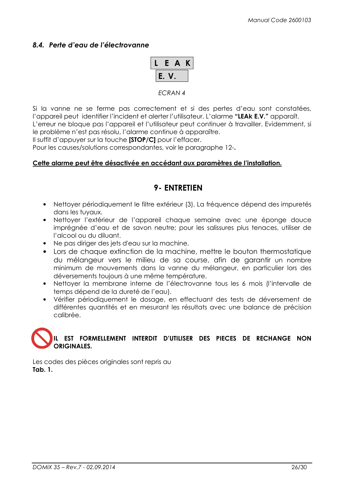#### 8.4. Perte d'eau de l'électrovanne



#### ECRAN 4

Si la vanne ne se ferme pas correctement et si des pertes d'eau sont constatées, l'appareil peut identifier l'incident et alerter l'utilisateur. L'alarme "LEAK E.V." apparaît. L'erreur ne bloque pas l'appareil et l'utilisateur peut continuer à travailler. Evidemment, si le problème n'est pas résolu, l'alarme continue à apparaître.

Il suffit d'appuyer sur la touche [STOP/C] pour l'effacer.

Pour les causes/solutions correspondantes, voir le paragraphe 12-.

#### Cette alarme peut être désactivée en accédant aux paramètres de l'installation.

## 9- ENTRETIEN

- Nettoyer périodiquement le filtre extérieur (3). La fréquence dépend des impuretés dans les tuyaux.
- Nettoyer l'extérieur de l'appareil chaque semaine avec une éponge douce imprégnée d'eau et de savon neutre; pour les salissures plus tenaces, utiliser de l'alcool ou du diluant.
- Ne pas diriger des jets d'eau sur la machine.
- Lors de chaque extinction de la machine, mettre le bouton thermostatique du mélangeur vers le milieu de sa course, afin de garantir un nombre minimum de mouvements dans la vanne du mélangeur, en particulier lors des déversements toujours à une même température.
- Nettoyer la membrane interne de l'électrovanne tous les 6 mois (l'intervalle de temps dépend de la dureté de l'eau).
- Vérifier périodiquement le dosage, en effectuant des tests de déversement de différentes quantités et en mesurant les résultats avec une balance de précision calibrée.

## IL EST FORMELLEMENT INTERDIT D'UTILISER DES PIECES DE RECHANGE NON **ORIGINALES**

Les codes des pièces originales sont repris au Tab. 1.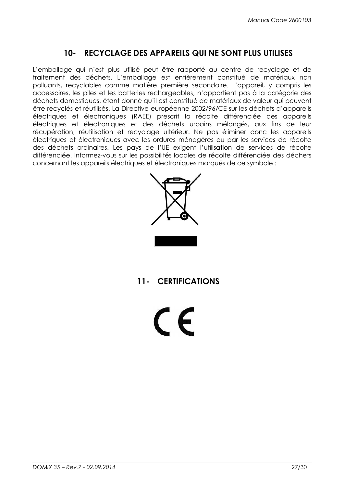## 10- RECYCLAGE DES APPAREILS QUI NE SONT PLUS UTILISES

L'emballage qui n'est plus utilisé peut être rapporté au centre de recyclage et de traitement des déchets. L'emballage est entièrement constitué de matériaux non polluants, recyclables comme matière première secondaire. L'appareil, y compris les accessoires, les piles et les batteries rechargeables, n'appartient pas à la catégorie des déchets domestiques, étant donné qu'il est constitué de matériaux de valeur qui peuvent être recyclés et réutilisés. La Directive européenne 2002/96/CE sur les déchets d'appareils électriques et électroniques (RAEE) prescrit la récolte différenciée des appareils électriques et électroniques et des déchets urbains mélangés, aux fins de leur récupération, réutilisation et recyclage ultérieur. Ne pas éliminer donc les appareils électriques et électroniques avec les ordures ménagères ou par les services de récolte des déchets ordinaires. Les pays de l'UE exigent l'utilisation de services de récolte différenciée. Informez-vous sur les possibilités locales de récolte différenciée des déchets concernant les appareils électriques et électroniques marqués de ce symbole :



## 11- CERTIFICATIONS

 $\epsilon$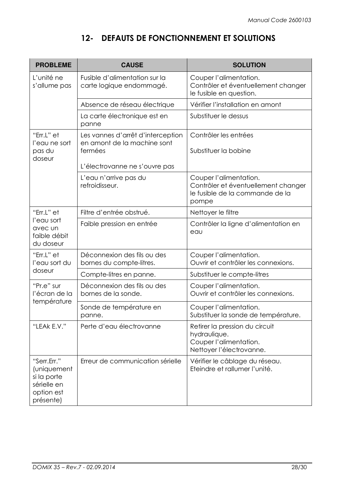# 12- DEFAUTS DE FONCTIONNEMENT ET SOLUTIONS

| <b>PROBLEME</b>                                                                     | <b>CAUSE</b>                                                                                                 | <b>SOLUTION</b>                                                                                           |
|-------------------------------------------------------------------------------------|--------------------------------------------------------------------------------------------------------------|-----------------------------------------------------------------------------------------------------------|
| L'unité ne<br>s'allume pas                                                          | Fusible d'alimentation sur la<br>carte logique endommagé.                                                    | Couper l'alimentation.<br>Contrôler et éventuellement changer<br>le fusible en question.                  |
|                                                                                     | Absence de réseau électrique                                                                                 | Vérifier l'installation en amont                                                                          |
|                                                                                     | La carte électronique est en<br>panne                                                                        | Substituer le dessus                                                                                      |
| "Err.L" et<br>l'eau ne sort<br>pas du<br>doseur                                     | Les vannes d'arrêt d'interception<br>en amont de la machine sont<br>fermées<br>L'électrovanne ne s'ouvre pas | Contrôler les entrées<br>Substituer la bobine                                                             |
|                                                                                     | L'eau n'arrive pas du<br>refroidisseur.                                                                      | Couper l'alimentation.<br>Contrôler et éventuellement changer<br>le fusible de la commande de la<br>pompe |
| "Err.L" et                                                                          | Filtre d'entrée obstrué.                                                                                     | Nettoyer le filtre                                                                                        |
| l'eau sort<br>avec un<br>faible débit<br>du doseur                                  | Faible pression en entrée                                                                                    | Contrôler la ligne d'alimentation en<br>eau                                                               |
| "Err.L" et<br>l'eau sort du                                                         | Déconnexion des fils ou des<br>bornes du compte-litres.                                                      | Couper l'alimentation.<br>Ouvrir et contrôler les connexions.                                             |
| doseur                                                                              | Compte-litres en panne.                                                                                      | Substituer le compte-litres                                                                               |
| "Pr.e" sur<br>l'écran de la                                                         | Déconnexion des fils ou des<br>bornes de la sonde.                                                           | Couper l'alimentation.<br>Ouvrir et contrôler les connexions.                                             |
| température                                                                         | Sonde de température en<br>panne                                                                             | Couper l'alimentation.<br>Substituer la sonde de température                                              |
| "LEAk E.V."                                                                         | Perte d'eau électrovanne                                                                                     | Retirer la pression du circuit<br>hydraulique.<br>Couper l'alimentation.<br>Nettoyer l'électrovanne.      |
| "Serr.Err."<br>(uniquement<br>si la porte<br>sérielle en<br>option est<br>présente) | Erreur de communication sérielle                                                                             | Vérifier le câblage du réseau.<br>Eteindre et rallumer l'unité.                                           |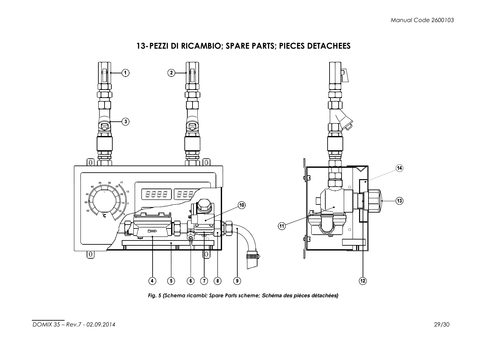



Fig. 5 (Schema ricambi; Spare Parts scheme; **Schéma des pièces détachées**)